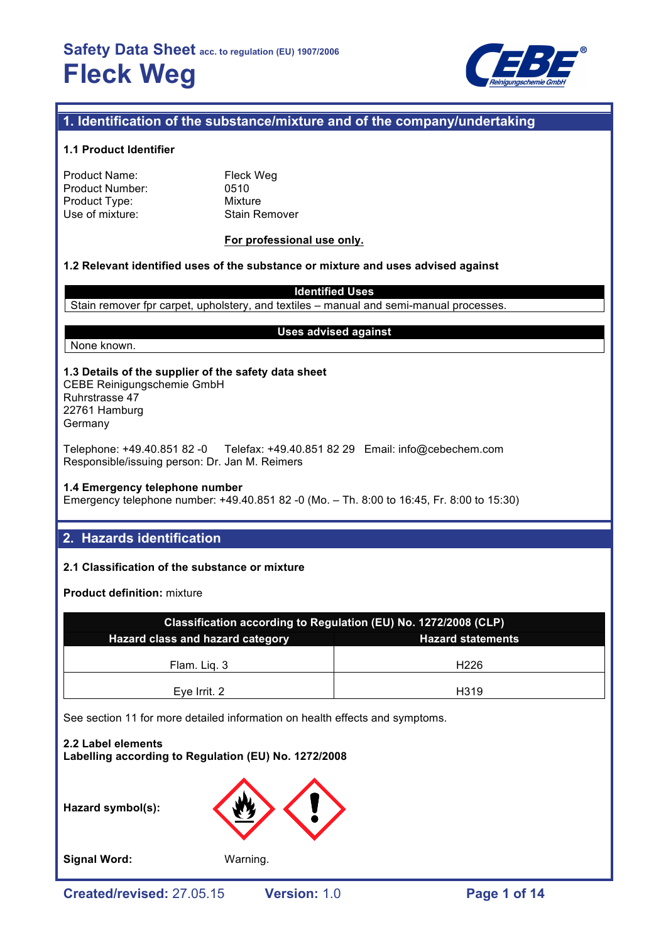

## **1. Identification of the substance/mixture and of the company/undertaking**

#### **1.1 Product Identifier**

| Product Name:   |  |
|-----------------|--|
| Product Number: |  |
| Product Type:   |  |
| Use of mixture: |  |

Fleck Weg 0510 **Mixture** Stain Remover

#### **For professional use only.**

### **1.2 Relevant identified uses of the substance or mixture and uses advised against**

**Identified Uses**

Stain remover fpr carpet, upholstery, and textiles – manual and semi-manual processes.

None known.

#### **Uses advised against**

## **1.3 Details of the supplier of the safety data sheet** CEBE Reinigungschemie GmbH Ruhrstrasse 47

22761 Hamburg Germany

Telephone: +49.40.851 82 -0 Telefax: +49.40.851 82 29 Email: info@cebechem.com Responsible/issuing person: Dr. Jan M. Reimers

### **1.4 Emergency telephone number**

Emergency telephone number: +49.40.851 82 -0 (Mo. – Th. 8:00 to 16:45, Fr. 8:00 to 15:30)

## **2. Hazards identification**

### **2.1 Classification of the substance or mixture**

**Product definition:** mixture

| Classification according to Regulation (EU) No. 1272/2008 (CLP) |                  |  |  |
|-----------------------------------------------------------------|------------------|--|--|
| Hazard class and hazard category<br><b>Hazard statements</b>    |                  |  |  |
| Flam. Lig. 3                                                    | H <sub>226</sub> |  |  |
| Eye Irrit. 2                                                    | H319             |  |  |

See section 11 for more detailed information on health effects and symptoms.

**2.2 Label elements Labelling according to Regulation (EU) No. 1272/2008**

**Hazard symbol(s):**



**Signal Word:** Warning.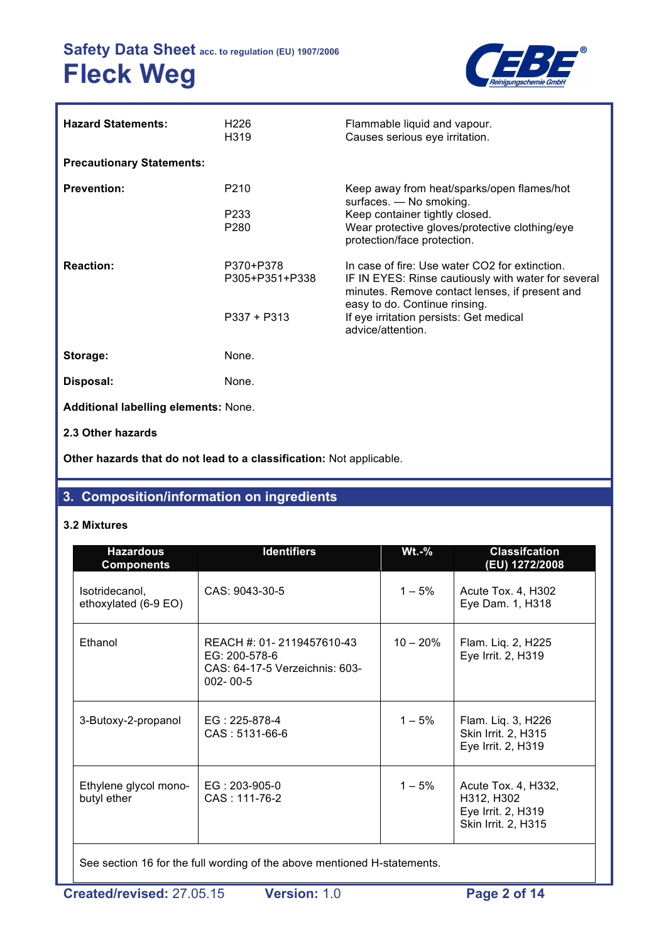

| <b>Hazard Statements:</b>                   | H <sub>226</sub><br>H319                   | Flammable liquid and vapour.<br>Causes serious eye irritation.                                                                                                                                                                                           |
|---------------------------------------------|--------------------------------------------|----------------------------------------------------------------------------------------------------------------------------------------------------------------------------------------------------------------------------------------------------------|
| <b>Precautionary Statements:</b>            |                                            |                                                                                                                                                                                                                                                          |
| <b>Prevention:</b>                          | P210<br>P <sub>2</sub> 33<br>P280          | Keep away from heat/sparks/open flames/hot<br>surfaces. - No smoking.<br>Keep container tightly closed.<br>Wear protective gloves/protective clothing/eye<br>protection/face protection.                                                                 |
| <b>Reaction:</b>                            | P370+P378<br>P305+P351+P338<br>P337 + P313 | In case of fire: Use water CO2 for extinction.<br>IF IN EYES: Rinse cautiously with water for several<br>minutes. Remove contact lenses, if present and<br>easy to do. Continue rinsing.<br>If eye irritation persists: Get medical<br>advice/attention. |
| Storage:                                    | None.                                      |                                                                                                                                                                                                                                                          |
| Disposal:                                   | None.                                      |                                                                                                                                                                                                                                                          |
| <b>Additional labelling elements: None.</b> |                                            |                                                                                                                                                                                                                                                          |
| 2.3 Other hazards                           |                                            |                                                                                                                                                                                                                                                          |

**Other hazards that do not lead to a classification:** Not applicable.

## **3. Composition/information on ingredients**

## **3.2 Mixtures**

| <b>Hazardous</b><br><b>Components</b>  | <b>Identifiers</b><br>$Wt.-%$                                                                  |            | <b>Classifcation</b><br>(EU) 1272/2008                                         |  |
|----------------------------------------|------------------------------------------------------------------------------------------------|------------|--------------------------------------------------------------------------------|--|
| Isotridecanol,<br>ethoxylated (6-9 EO) | CAS: 9043-30-5                                                                                 | $1 - 5%$   | Acute Tox. 4, H302<br>Eye Dam. 1, H318                                         |  |
| Ethanol                                | REACH #: 01-2119457610-43<br>EG: 200-578-6<br>CAS: 64-17-5 Verzeichnis: 603-<br>$002 - 00 - 5$ | $10 - 20%$ | Flam. Liq. 2, H225<br>Eye Irrit. 2, H319                                       |  |
| 3-Butoxy-2-propanol                    | $EG: 225-878-4$<br>$CAS: 5131-66-6$                                                            | $1 - 5%$   | Flam. Liq. 3, H226<br>Skin Irrit. 2, H315<br>Eye Irrit. 2, H319                |  |
| Ethylene glycol mono-<br>butyl ether   | EG: 203-905-0<br>CAS: 111-76-2                                                                 | $1 - 5%$   | Acute Tox. 4, H332,<br>H312, H302<br>Eye Irrit. 2, H319<br>Skin Irrit. 2, H315 |  |

See section 16 for the full wording of the above mentioned H-statements.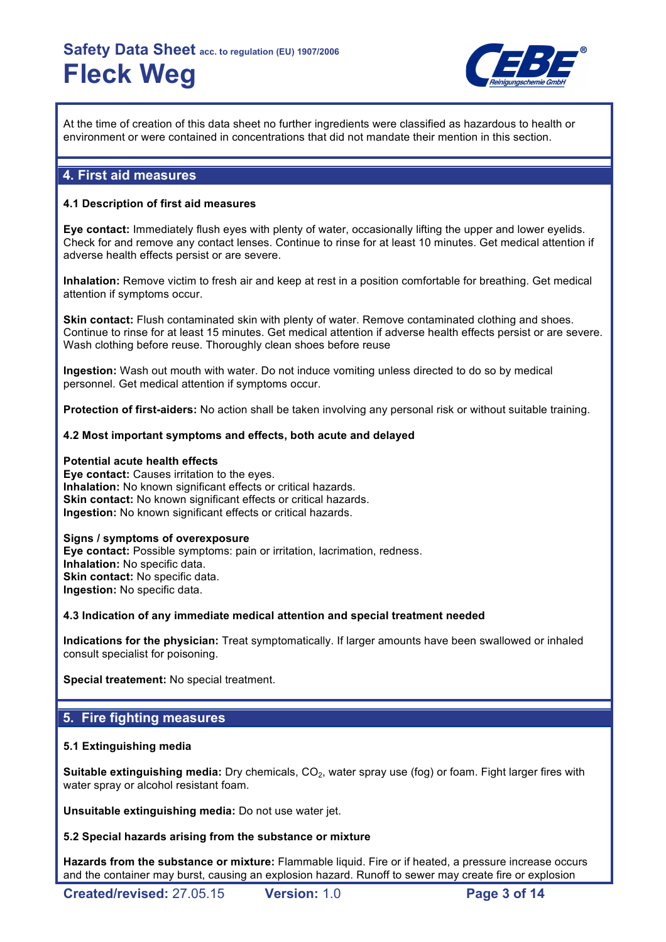

At the time of creation of this data sheet no further ingredients were classified as hazardous to health or environment or were contained in concentrations that did not mandate their mention in this section.

## **4. First aid measures**

#### **4.1 Description of first aid measures**

**Eye contact:** Immediately flush eyes with plenty of water, occasionally lifting the upper and lower eyelids. Check for and remove any contact lenses. Continue to rinse for at least 10 minutes. Get medical attention if adverse health effects persist or are severe.

**Inhalation:** Remove victim to fresh air and keep at rest in a position comfortable for breathing. Get medical attention if symptoms occur.

**Skin contact:** Flush contaminated skin with plenty of water. Remove contaminated clothing and shoes. Continue to rinse for at least 15 minutes. Get medical attention if adverse health effects persist or are severe. Wash clothing before reuse. Thoroughly clean shoes before reuse

**Ingestion:** Wash out mouth with water. Do not induce vomiting unless directed to do so by medical personnel. Get medical attention if symptoms occur.

**Protection of first-aiders:** No action shall be taken involving any personal risk or without suitable training.

#### **4.2 Most important symptoms and effects, both acute and delayed**

#### **Potential acute health effects**

**Eye contact:** Causes irritation to the eyes. **Inhalation:** No known significant effects or critical hazards. **Skin contact:** No known significant effects or critical hazards. **Ingestion:** No known significant effects or critical hazards.

#### **Signs / symptoms of overexposure**

**Eye contact:** Possible symptoms: pain or irritation, lacrimation, redness. **Inhalation:** No specific data. **Skin contact: No specific data. Ingestion:** No specific data.

**4.3 Indication of any immediate medical attention and special treatment needed**

**Indications for the physician:** Treat symptomatically. If larger amounts have been swallowed or inhaled consult specialist for poisoning.

**Special treatement:** No special treatment.

## **5. Fire fighting measures**

#### **5.1 Extinguishing media**

**Suitable extinguishing media:** Dry chemicals, CO<sub>2</sub>, water spray use (fog) or foam. Fight larger fires with water spray or alcohol resistant foam.

**Unsuitable extinguishing media:** Do not use water jet.

#### **5.2 Special hazards arising from the substance or mixture**

**Hazards from the substance or mixture:** Flammable liquid. Fire or if heated, a pressure increase occurs and the container may burst, causing an explosion hazard. Runoff to sewer may create fire or explosion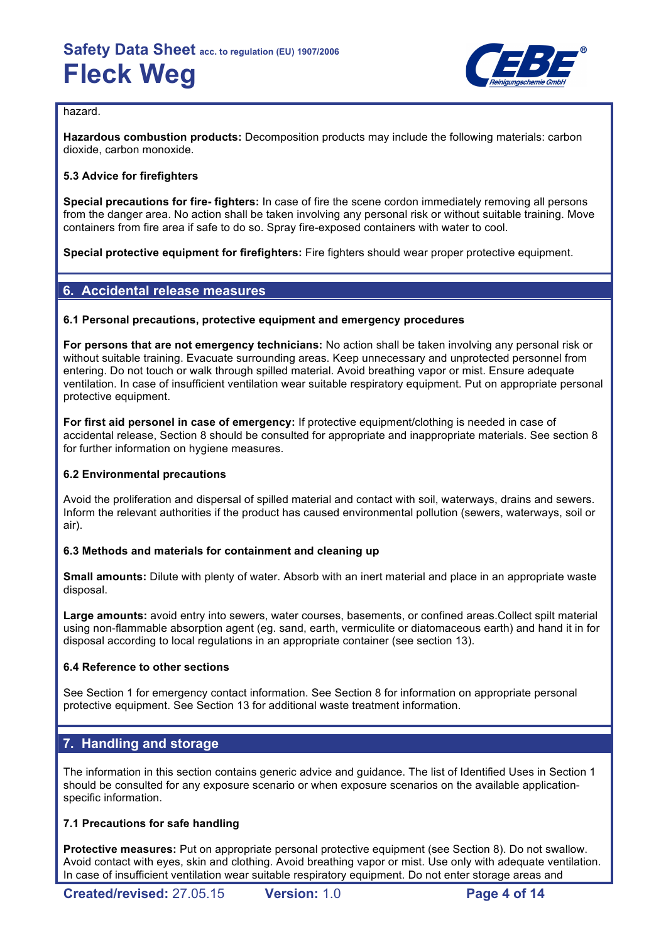

### hazard.

**Hazardous combustion products:** Decomposition products may include the following materials: carbon dioxide, carbon monoxide.

### **5.3 Advice for firefighters**

**Special precautions for fire- fighters:** In case of fire the scene cordon immediately removing all persons from the danger area. No action shall be taken involving any personal risk or without suitable training. Move containers from fire area if safe to do so. Spray fire-exposed containers with water to cool.

**Special protective equipment for firefighters:** Fire fighters should wear proper protective equipment.

## **6. Accidental release measures**

### **6.1 Personal precautions, protective equipment and emergency procedures**

**For persons that are not emergency technicians:** No action shall be taken involving any personal risk or without suitable training. Evacuate surrounding areas. Keep unnecessary and unprotected personnel from entering. Do not touch or walk through spilled material. Avoid breathing vapor or mist. Ensure adequate ventilation. In case of insufficient ventilation wear suitable respiratory equipment. Put on appropriate personal protective equipment.

**For first aid personel in case of emergency:** If protective equipment/clothing is needed in case of accidental release, Section 8 should be consulted for appropriate and inappropriate materials. See section 8 for further information on hygiene measures.

### **6.2 Environmental precautions**

Avoid the proliferation and dispersal of spilled material and contact with soil, waterways, drains and sewers. Inform the relevant authorities if the product has caused environmental pollution (sewers, waterways, soil or air).

#### **6.3 Methods and materials for containment and cleaning up**

**Small amounts:** Dilute with plenty of water. Absorb with an inert material and place in an appropriate waste disposal.

**Large amounts:** avoid entry into sewers, water courses, basements, or confined areas.Collect spilt material using non-flammable absorption agent (eg. sand, earth, vermiculite or diatomaceous earth) and hand it in for disposal according to local regulations in an appropriate container (see section 13).

#### **6.4 Reference to other sections**

See Section 1 for emergency contact information. See Section 8 for information on appropriate personal protective equipment. See Section 13 for additional waste treatment information.

## **7. Handling and storage**

The information in this section contains generic advice and guidance. The list of Identified Uses in Section 1 should be consulted for any exposure scenario or when exposure scenarios on the available applicationspecific information.

#### **7.1 Precautions for safe handling**

**Protective measures:** Put on appropriate personal protective equipment (see Section 8). Do not swallow. Avoid contact with eyes, skin and clothing. Avoid breathing vapor or mist. Use only with adequate ventilation. In case of insufficient ventilation wear suitable respiratory equipment. Do not enter storage areas and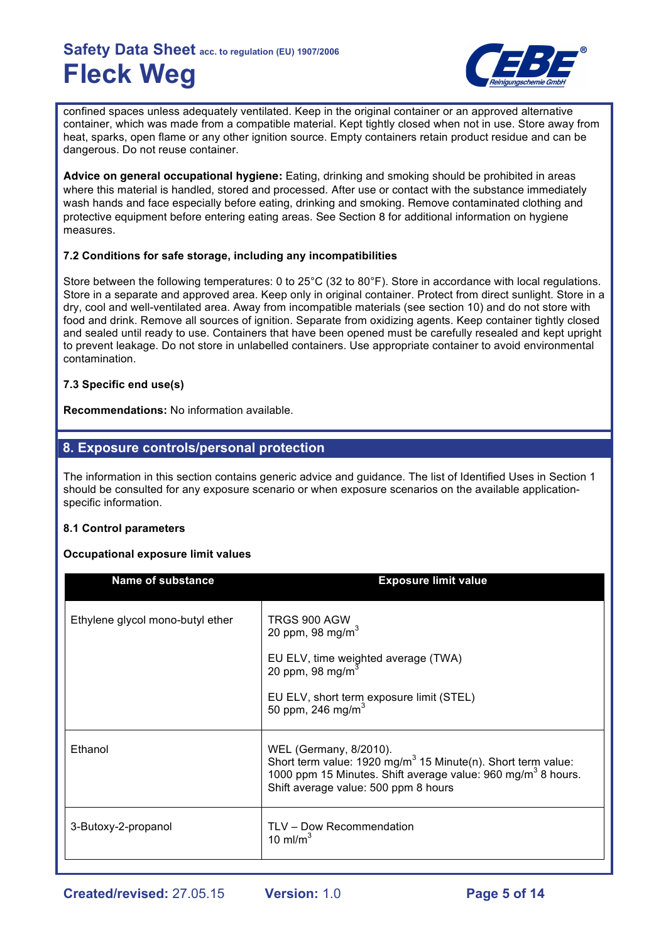

confined spaces unless adequately ventilated. Keep in the original container or an approved alternative container, which was made from a compatible material. Kept tightly closed when not in use. Store away from heat, sparks, open flame or any other ignition source. Empty containers retain product residue and can be dangerous. Do not reuse container.

**Advice on general occupational hygiene:** Eating, drinking and smoking should be prohibited in areas where this material is handled, stored and processed. After use or contact with the substance immediately wash hands and face especially before eating, drinking and smoking. Remove contaminated clothing and protective equipment before entering eating areas. See Section 8 for additional information on hygiene measures.

### **7.2 Conditions for safe storage, including any incompatibilities**

Store between the following temperatures: 0 to 25°C (32 to 80°F). Store in accordance with local regulations. Store in a separate and approved area. Keep only in original container. Protect from direct sunlight. Store in a dry, cool and well-ventilated area. Away from incompatible materials (see section 10) and do not store with food and drink. Remove all sources of ignition. Separate from oxidizing agents. Keep container tightly closed and sealed until ready to use. Containers that have been opened must be carefully resealed and kept upright to prevent leakage. Do not store in unlabelled containers. Use appropriate container to avoid environmental contamination.

### **7.3 Specific end use(s)**

**Recommendations:** No information available.

## **8. Exposure controls/personal protection**

The information in this section contains generic advice and guidance. The list of Identified Uses in Section 1 should be consulted for any exposure scenario or when exposure scenarios on the available applicationspecific information.

#### **8.1 Control parameters**

#### **Occupational exposure limit values**

| <b>Name of substance</b>         | <b>Exposure limit value</b>                                                                                                                                                                                           |
|----------------------------------|-----------------------------------------------------------------------------------------------------------------------------------------------------------------------------------------------------------------------|
| Ethylene glycol mono-butyl ether | TRGS 900 AGW<br>20 ppm, 98 mg/m <sup>3</sup><br>EU ELV, time weighted average (TWA)<br>20 ppm, 98 mg/m $^3$<br>EU ELV, short term exposure limit (STEL)<br>50 ppm, 246 mg/m <sup>3</sup>                              |
| Ethanol                          | WEL (Germany, 8/2010).<br>Short term value: $1920 \text{ mg/m}^3$ 15 Minute(n). Short term value:<br>1000 ppm 15 Minutes. Shift average value: 960 mg/m <sup>3</sup> 8 hours.<br>Shift average value: 500 ppm 8 hours |
| 3-Butoxy-2-propanol              | TLV - Dow Recommendation<br>10 ml/m $3$                                                                                                                                                                               |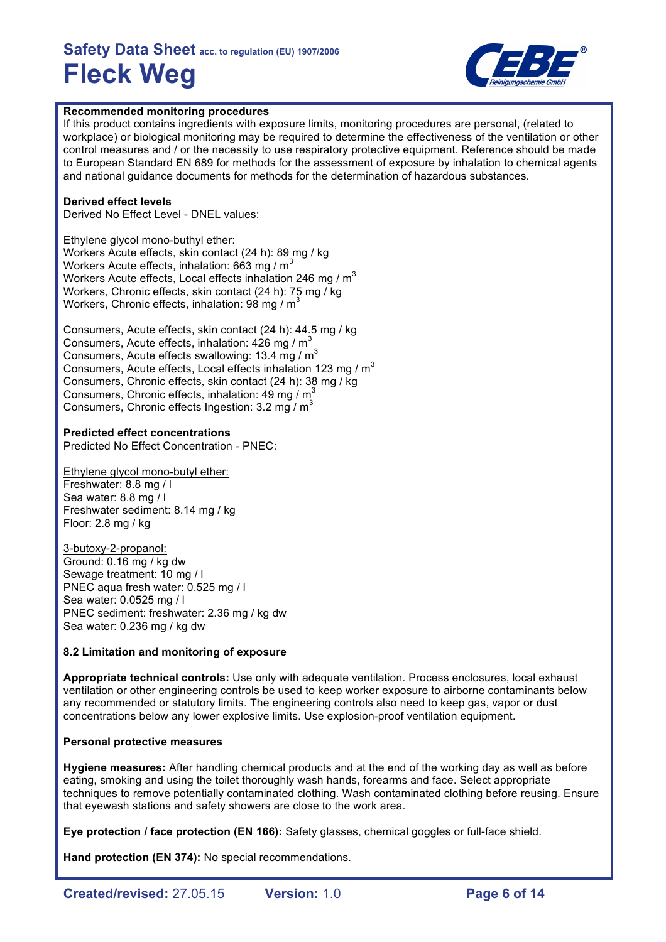

#### **Recommended monitoring procedures**

If this product contains ingredients with exposure limits, monitoring procedures are personal, (related to workplace) or biological monitoring may be required to determine the effectiveness of the ventilation or other control measures and / or the necessity to use respiratory protective equipment. Reference should be made to European Standard EN 689 for methods for the assessment of exposure by inhalation to chemical agents and national guidance documents for methods for the determination of hazardous substances.

#### **Derived effect levels**

Derived No Effect Level - DNEL values:

Ethylene glycol mono-buthyl ether: Workers Acute effects, skin contact (24 h): 89 mg / kg Workers Acute effects, inhalation:  $663$  mg / m<sup>3</sup> Workers Acute effects, Local effects inhalation 246 mg /  $m<sup>3</sup>$ Workers, Chronic effects, skin contact (24 h): 75 mg / kg Workers, Chronic effects, inhalation: 98 mg /  $m<sup>3</sup>$ 

Consumers, Acute effects, skin contact (24 h): 44.5 mg / kg Consumers, Acute effects, inhalation:  $426 \text{ mg} / \text{m}^3$ Consumers, Acute effects swallowing: 13.4 mg / m<sup>3</sup> Consumers, Acute effects, Local effects inhalation 123 mg /  $m<sup>3</sup>$ Consumers, Chronic effects, skin contact (24 h): 38 mg / kg Consumers, Chronic effects, inhalation: 49 mg / m<sup>3</sup> Consumers, Chronic effects Ingestion: 3.2 mg / m<sup>3</sup>

#### **Predicted effect concentrations**

Predicted No Effect Concentration - PNEC:

Ethylene glycol mono-butyl ether: Freshwater: 8.8 mg / l Sea water: 8.8 mg / l Freshwater sediment: 8.14 mg / kg Floor: 2.8 mg / kg

3-butoxy-2-propanol: Ground: 0.16 mg / kg dw Sewage treatment: 10 mg / l PNEC aqua fresh water: 0.525 mg / l Sea water: 0.0525 mg / l PNEC sediment: freshwater: 2.36 mg / kg dw Sea water: 0.236 mg / kg dw

#### **8.2 Limitation and monitoring of exposure**

**Appropriate technical controls:** Use only with adequate ventilation. Process enclosures, local exhaust ventilation or other engineering controls be used to keep worker exposure to airborne contaminants below any recommended or statutory limits. The engineering controls also need to keep gas, vapor or dust concentrations below any lower explosive limits. Use explosion-proof ventilation equipment.

#### **Personal protective measures**

**Hygiene measures:** After handling chemical products and at the end of the working day as well as before eating, smoking and using the toilet thoroughly wash hands, forearms and face. Select appropriate techniques to remove potentially contaminated clothing. Wash contaminated clothing before reusing. Ensure that eyewash stations and safety showers are close to the work area.

**Eye protection / face protection (EN 166):** Safety glasses, chemical goggles or full-face shield.

**Hand protection (EN 374):** No special recommendations.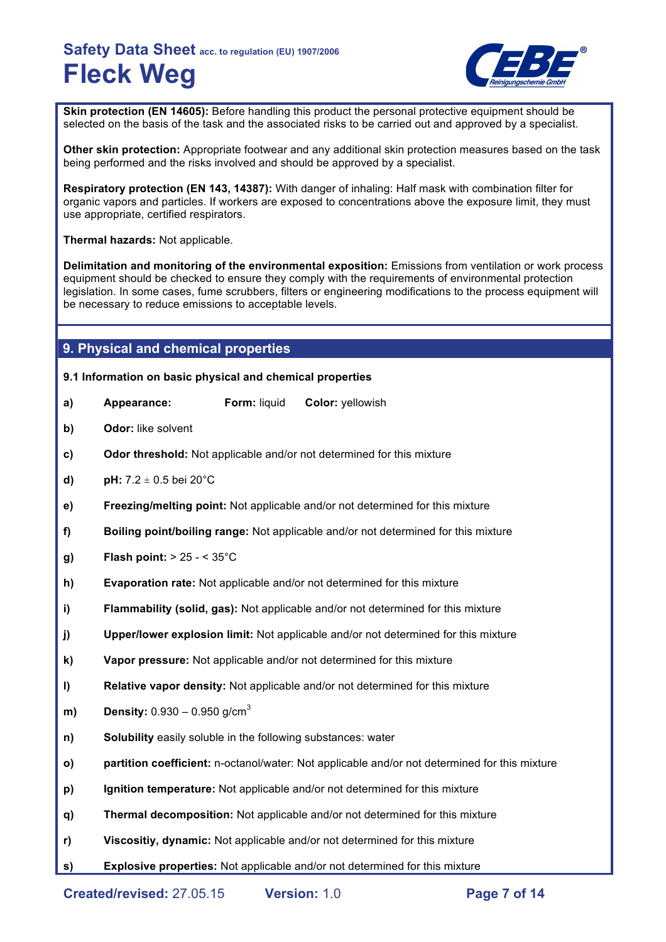

**Skin protection (EN 14605):** Before handling this product the personal protective equipment should be selected on the basis of the task and the associated risks to be carried out and approved by a specialist.

**Other skin protection:** Appropriate footwear and any additional skin protection measures based on the task being performed and the risks involved and should be approved by a specialist.

**Respiratory protection (EN 143, 14387):** With danger of inhaling: Half mask with combination filter for organic vapors and particles. If workers are exposed to concentrations above the exposure limit, they must use appropriate, certified respirators.

**Thermal hazards:** Not applicable.

**Delimitation and monitoring of the environmental exposition:** Emissions from ventilation or work process equipment should be checked to ensure they comply with the requirements of environmental protection legislation. In some cases, fume scrubbers, filters or engineering modifications to the process equipment will be necessary to reduce emissions to acceptable levels.

## **9. Physical and chemical properties**

#### **9.1 Information on basic physical and chemical properties**

- **a) Appearance: Form:** liquid **Color:** yellowish
- **b) Odor:** like solvent
- **c) Odor threshold:** Not applicable and/or not determined for this mixture
- **d) pH:**  $7.2 \pm 0.5$  bei 20 $^{\circ}$ C
- **e) Freezing/melting point:** Not applicable and/or not determined for this mixture
- **f) Boiling point/boiling range:** Not applicable and/or not determined for this mixture
- **g) Flash point:** > 25 < 35°C
- **h) Evaporation rate:** Not applicable and/or not determined for this mixture
- **i) Flammability (solid, gas):** Not applicable and/or not determined for this mixture
- **j) Upper/lower explosion limit:** Not applicable and/or not determined for this mixture
- **k) Vapor pressure:** Not applicable and/or not determined for this mixture
- **l) Relative vapor density:** Not applicable and/or not determined for this mixture
- **m) Density:** 0.930 0.950 g/cm<sup>3</sup>
- **n) Solubility** easily soluble in the following substances: water
- **o) partition coefficient:** n-octanol/water: Not applicable and/or not determined for this mixture
- **p) Ignition temperature:** Not applicable and/or not determined for this mixture
- **q) Thermal decomposition:** Not applicable and/or not determined for this mixture
- **r) Viscositiy, dynamic:** Not applicable and/or not determined for this mixture
- **s) Explosive properties:** Not applicable and/or not determined for this mixture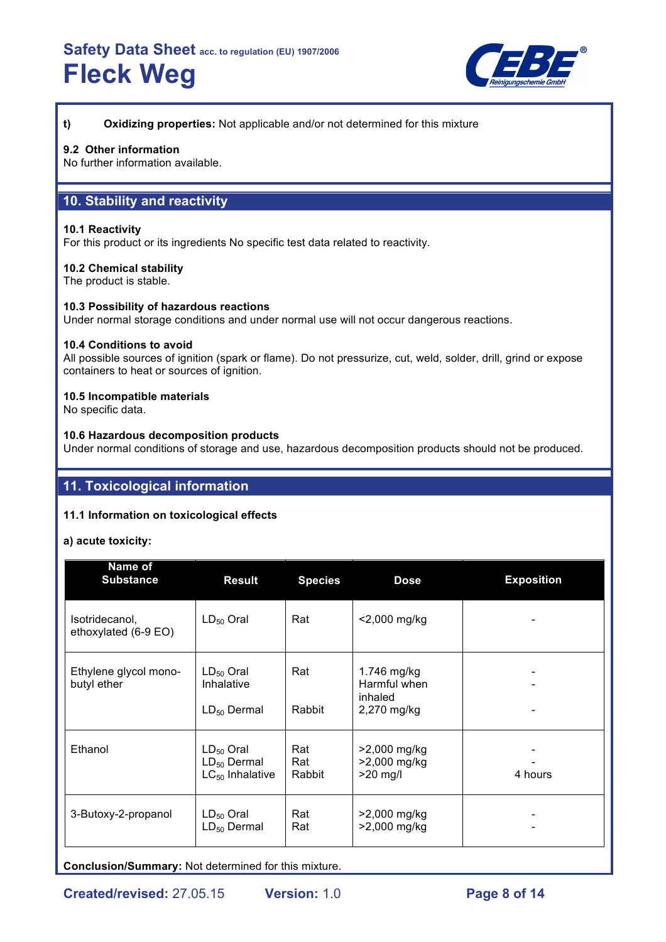

**t) Oxidizing properties:** Not applicable and/or not determined for this mixture

#### **9.2 Other information**

No further information available.

## **10. Stability and reactivity**

#### **10.1 Reactivity**

For this product or its ingredients No specific test data related to reactivity.

#### **10.2 Chemical stability**

The product is stable.

#### **10.3 Possibility of hazardous reactions**

Under normal storage conditions and under normal use will not occur dangerous reactions.

#### **10.4 Conditions to avoid**

All possible sources of ignition (spark or flame). Do not pressurize, cut, weld, solder, drill, grind or expose containers to heat or sources of ignition.

#### **10.5 Incompatible materials**

No specific data.

#### **10.6 Hazardous decomposition products**

Under normal conditions of storage and use, hazardous decomposition products should not be produced.

## **11. Toxicological information**

#### **11.1 Information on toxicological effects**

#### **a) acute toxicity:**

| <b>Name of</b><br><b>Substance</b>     | <b>Result</b>                                              | <b>Species</b>       | <b>Dose</b>                                           | <b>Exposition</b> |
|----------------------------------------|------------------------------------------------------------|----------------------|-------------------------------------------------------|-------------------|
| Isotridecanol,<br>ethoxylated (6-9 EO) | $LD_{50}$ Oral                                             | Rat                  | <2,000 mg/kg                                          |                   |
| Ethylene glycol mono-<br>butyl ether   | $LD_{50}$ Oral<br>Inhalative<br>$LD_{50}$ Dermal           | Rat<br>Rabbit        | 1.746 mg/kg<br>Harmful when<br>inhaled<br>2,270 mg/kg |                   |
| Ethanol                                | $LD_{50}$ Oral<br>$LD_{50}$ Dermal<br>$LC_{50}$ Inhalative | Rat<br>Rat<br>Rabbit | >2,000 mg/kg<br>>2,000 mg/kg<br>$>20$ mg/l            | 4 hours           |
| 3-Butoxy-2-propanol                    | $LD_{50}$ Oral<br>$LD_{50}$ Dermal                         | Rat<br>Rat           | >2,000 mg/kg<br>>2,000 mg/kg                          |                   |

**Conclusion/Summary:** Not determined for this mixture.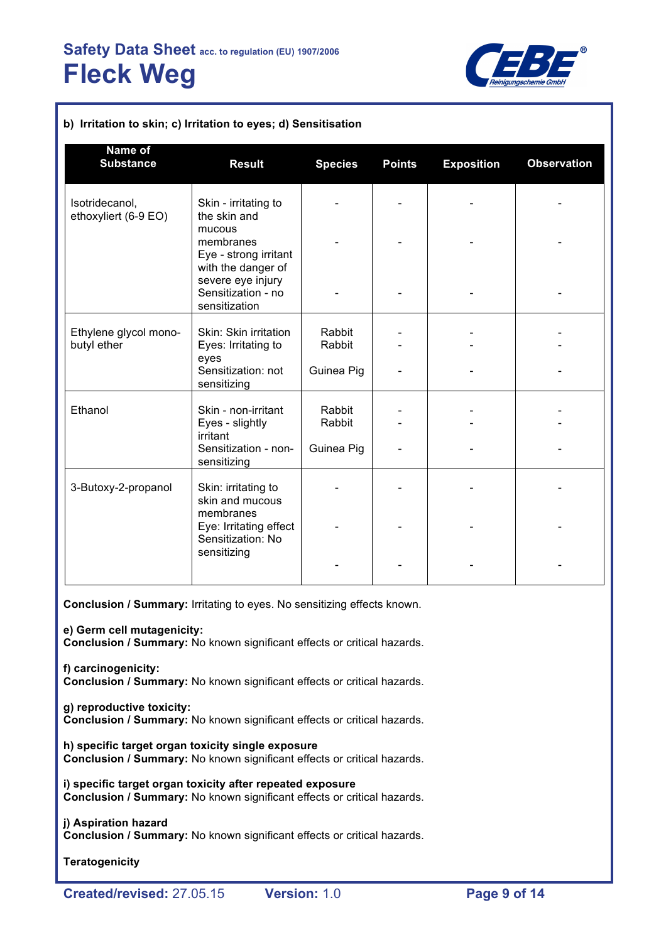

| b) Irritation to skin; c) Irritation to eyes; d) Sensitisation |                                                                                                            |                  |               |                   |                    |  |
|----------------------------------------------------------------|------------------------------------------------------------------------------------------------------------|------------------|---------------|-------------------|--------------------|--|
| Name of<br><b>Substance</b>                                    | <b>Result</b>                                                                                              | <b>Species</b>   | <b>Points</b> | <b>Exposition</b> | <b>Observation</b> |  |
| Isotridecanol,<br>ethoxyliert (6-9 EO)                         | Skin - irritating to<br>the skin and<br>mucous<br>membranes<br>Eye - strong irritant<br>with the danger of |                  |               |                   |                    |  |
|                                                                | severe eye injury<br>Sensitization - no<br>sensitization                                                   |                  |               |                   |                    |  |
| Ethylene glycol mono-<br>butyl ether                           | Skin: Skin irritation<br>Eyes: Irritating to<br>eyes                                                       | Rabbit<br>Rabbit |               |                   |                    |  |
|                                                                | Sensitization: not<br>sensitizing                                                                          | Guinea Pig       |               |                   |                    |  |
| Ethanol                                                        | Skin - non-irritant<br>Eyes - slightly<br>irritant                                                         | Rabbit<br>Rabbit |               |                   |                    |  |
|                                                                | Sensitization - non-<br>sensitizing                                                                        | Guinea Pig       |               |                   |                    |  |
| 3-Butoxy-2-propanol                                            | Skin: irritating to<br>skin and mucous<br>membranes                                                        |                  |               |                   |                    |  |
|                                                                | Eye: Irritating effect<br>Sensitization: No<br>sensitizing                                                 |                  |               |                   |                    |  |
|                                                                |                                                                                                            |                  |               |                   |                    |  |

**Conclusion / Summary:** Irritating to eyes. No sensitizing effects known.

**e) Germ cell mutagenicity:**

**Conclusion / Summary:** No known significant effects or critical hazards.

**f) carcinogenicity:**

**Conclusion / Summary:** No known significant effects or critical hazards.

#### **g) reproductive toxicity:**

**Conclusion / Summary:** No known significant effects or critical hazards.

**h) specific target organ toxicity single exposure Conclusion / Summary:** No known significant effects or critical hazards.

**i) specific target organ toxicity after repeated exposure Conclusion / Summary:** No known significant effects or critical hazards.

**j) Aspiration hazard**

**Conclusion / Summary:** No known significant effects or critical hazards.

**Teratogenicity**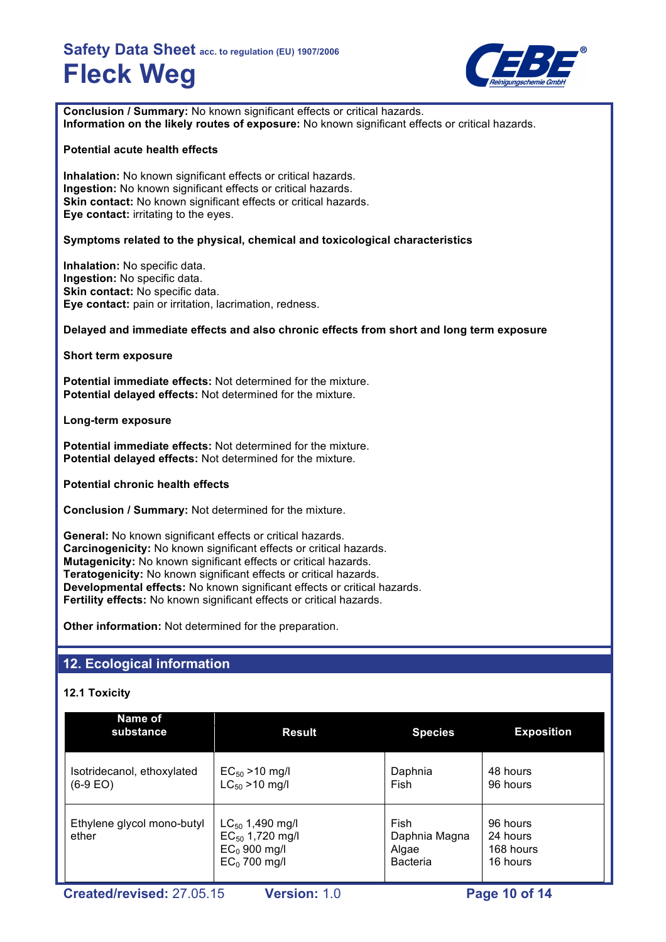

**Conclusion / Summary:** No known significant effects or critical hazards. **Information on the likely routes of exposure:** No known significant effects or critical hazards.

#### **Potential acute health effects**

**Inhalation:** No known significant effects or critical hazards. **Ingestion:** No known significant effects or critical hazards. **Skin contact:** No known significant effects or critical hazards. **Eye contact:** irritating to the eyes.

### **Symptoms related to the physical, chemical and toxicological characteristics**

**Inhalation:** No specific data. **Ingestion:** No specific data. **Skin contact: No specific data. Eye contact:** pain or irritation, lacrimation, redness.

#### **Delayed and immediate effects and also chronic effects from short and long term exposure**

**Short term exposure**

**Potential immediate effects:** Not determined for the mixture. **Potential delayed effects:** Not determined for the mixture.

**Long-term exposure**

**Potential immediate effects:** Not determined for the mixture. **Potential delayed effects:** Not determined for the mixture.

**Potential chronic health effects**

**Conclusion / Summary:** Not determined for the mixture.

**General:** No known significant effects or critical hazards. **Carcinogenicity:** No known significant effects or critical hazards. **Mutagenicity:** No known significant effects or critical hazards. **Teratogenicity:** No known significant effects or critical hazards. **Developmental effects:** No known significant effects or critical hazards. **Fertility effects:** No known significant effects or critical hazards.

**Other information:** Not determined for the preparation.

## **12. Ecological information**

#### **12.1 Toxicity**

| Name of<br>substance                     | <b>Result</b><br><b>Species</b>                                                  |                                                   | <b>Exposition</b>                             |
|------------------------------------------|----------------------------------------------------------------------------------|---------------------------------------------------|-----------------------------------------------|
| Isotridecanol, ethoxylated<br>$(6-9 EO)$ | $EC_{50} > 10$ mg/l<br>$LC_{50} > 10$ mg/l                                       | Daphnia<br>Fish                                   | 48 hours<br>96 hours                          |
| Ethylene glycol mono-butyl<br>ether      | $LC_{50}$ 1,490 mg/l<br>$EC_{50}$ 1,720 mg/l<br>$EC0$ 900 mg/l<br>$EC0$ 700 mg/l | Fish<br>Daphnia Magna<br>Algae<br><b>Bacteria</b> | 96 hours<br>24 hours<br>168 hours<br>16 hours |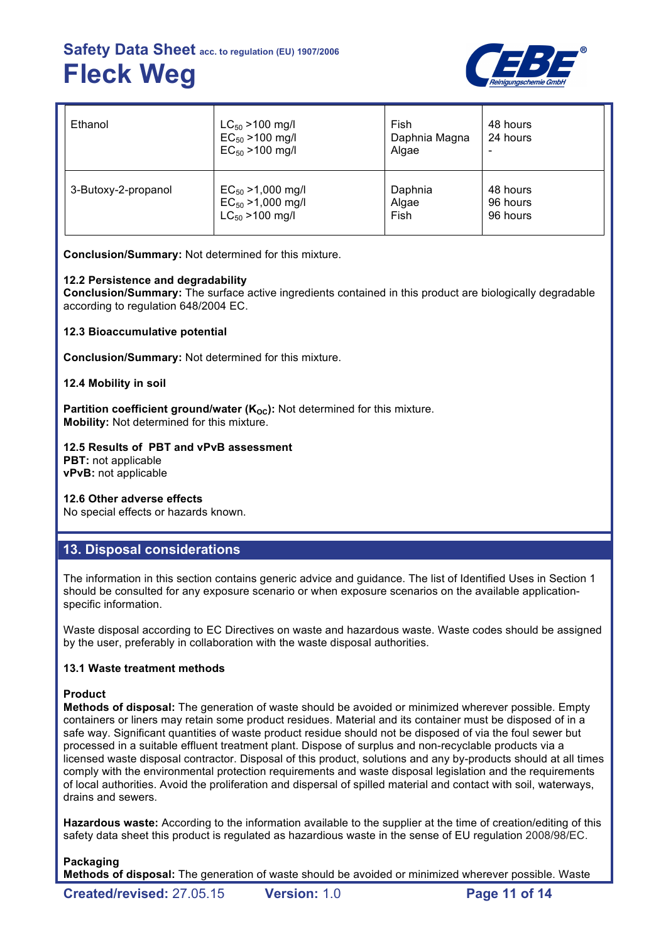

| Ethanol                                                                                         | $LC_{50}$ >100 mg/l<br>$EC_{50} > 100$ mg/l<br>$EC_{50} > 100$ mg/l | Fish<br>Daphnia Magna<br>Algae | 48 hours<br>24 hours             |
|-------------------------------------------------------------------------------------------------|---------------------------------------------------------------------|--------------------------------|----------------------------------|
| $EC_{50} > 1,000$ mg/l<br>3-Butoxy-2-propanol<br>$EC_{50} > 1,000$ mg/l<br>$LC_{50}$ > 100 mg/l |                                                                     | Daphnia<br>Algae<br>Fish       | 48 hours<br>96 hours<br>96 hours |

**Conclusion/Summary:** Not determined for this mixture.

#### **12.2 Persistence and degradability**

**Conclusion/Summary:** The surface active ingredients contained in this product are biologically degradable according to regulation 648/2004 EC.

**12.3 Bioaccumulative potential**

**Conclusion/Summary:** Not determined for this mixture.

#### **12.4 Mobility in soil**

Partition coefficient ground/water (K<sub>oc</sub>): Not determined for this mixture. **Mobility:** Not determined for this mixture.

#### **12.5 Results of PBT and vPvB assessment**

**PBT:** not applicable **vPvB:** not applicable

#### **12.6 Other adverse effects**

No special effects or hazards known.

#### **13. Disposal considerations**

The information in this section contains generic advice and guidance. The list of Identified Uses in Section 1 should be consulted for any exposure scenario or when exposure scenarios on the available applicationspecific information.

Waste disposal according to EC Directives on waste and hazardous waste. Waste codes should be assigned by the user, preferably in collaboration with the waste disposal authorities.

#### **13.1 Waste treatment methods**

#### **Product**

**Methods of disposal:** The generation of waste should be avoided or minimized wherever possible. Empty containers or liners may retain some product residues. Material and its container must be disposed of in a safe way. Significant quantities of waste product residue should not be disposed of via the foul sewer but processed in a suitable effluent treatment plant. Dispose of surplus and non-recyclable products via a licensed waste disposal contractor. Disposal of this product, solutions and any by-products should at all times comply with the environmental protection requirements and waste disposal legislation and the requirements of local authorities. Avoid the proliferation and dispersal of spilled material and contact with soil, waterways, drains and sewers.

**Hazardous waste:** According to the information available to the supplier at the time of creation/editing of this safety data sheet this product is regulated as hazardious waste in the sense of EU regulation 2008/98/EC.

#### **Packaging**

**Methods of disposal:** The generation of waste should be avoided or minimized wherever possible. Waste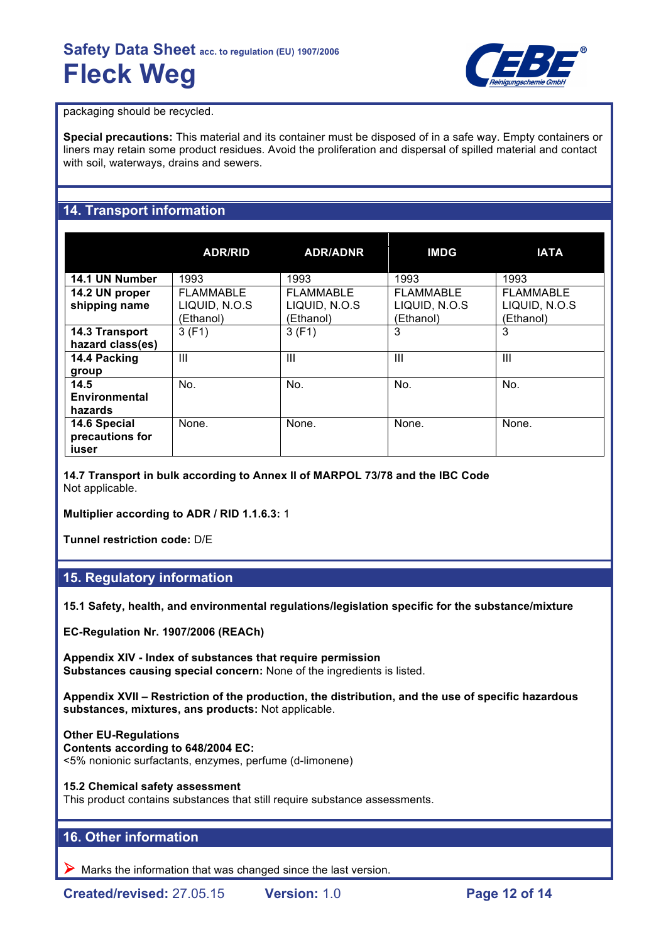

packaging should be recycled.

**Special precautions:** This material and its container must be disposed of in a safe way. Empty containers or liners may retain some product residues. Avoid the proliferation and dispersal of spilled material and contact with soil, waterways, drains and sewers.

## **14. Transport information**

|                                          | <b>ADR/RID</b>                          | <b>ADR/ADNR</b>                         | <b>IMDG</b>                             | <b>IATA</b>                                    |
|------------------------------------------|-----------------------------------------|-----------------------------------------|-----------------------------------------|------------------------------------------------|
| 14.1 UN Number                           | 1993                                    | 1993                                    | 1993                                    | 1993                                           |
| 14.2 UN proper<br>shipping name          | FLAMMABLE<br>LIQUID, N.O.S<br>(Ethanol) | FLAMMABLE<br>LIQUID, N.O.S<br>(Ethanol) | FLAMMABLE<br>LIQUID, N.O.S<br>(Ethanol) | <b>FLAMMABLE</b><br>LIQUID, N.O.S<br>(Ethanol) |
| 14.3 Transport<br>hazard class(es)       | 3(F1)                                   | 3(F1)                                   | 3                                       | 3                                              |
| 14.4 Packing<br>group                    | Ш                                       | Ш                                       | Ш                                       | Ш                                              |
| 14.5<br>Environmental<br>hazards         | No.                                     | No.                                     | No.                                     | No.                                            |
| 14.6 Special<br>precautions for<br>iuser | None.                                   | None.                                   | None.                                   | None.                                          |

**14.7 Transport in bulk according to Annex II of MARPOL 73/78 and the IBC Code** Not applicable.

**Multiplier according to ADR / RID 1.1.6.3:** 1

**Tunnel restriction code:** D/E

## **15. Regulatory information**

**15.1 Safety, health, and environmental regulations/legislation specific for the substance/mixture**

**EC-Regulation Nr. 1907/2006 (REACh)**

**Appendix XIV - Index of substances that require permission Substances causing special concern:** None of the ingredients is listed.

**Appendix XVII – Restriction of the production, the distribution, and the use of specific hazardous substances, mixtures, ans products:** Not applicable.

**Other EU-Regulations Contents according to 648/2004 EC:** <5% nonionic surfactants, enzymes, perfume (d-limonene)

**15.2 Chemical safety assessment**

This product contains substances that still require substance assessments.

## **16. Other information**

 $\triangleright$  Marks the information that was changed since the last version.

**Created/revised:** 27.05.15 **Version:** 1.0 **Page 12 of 14**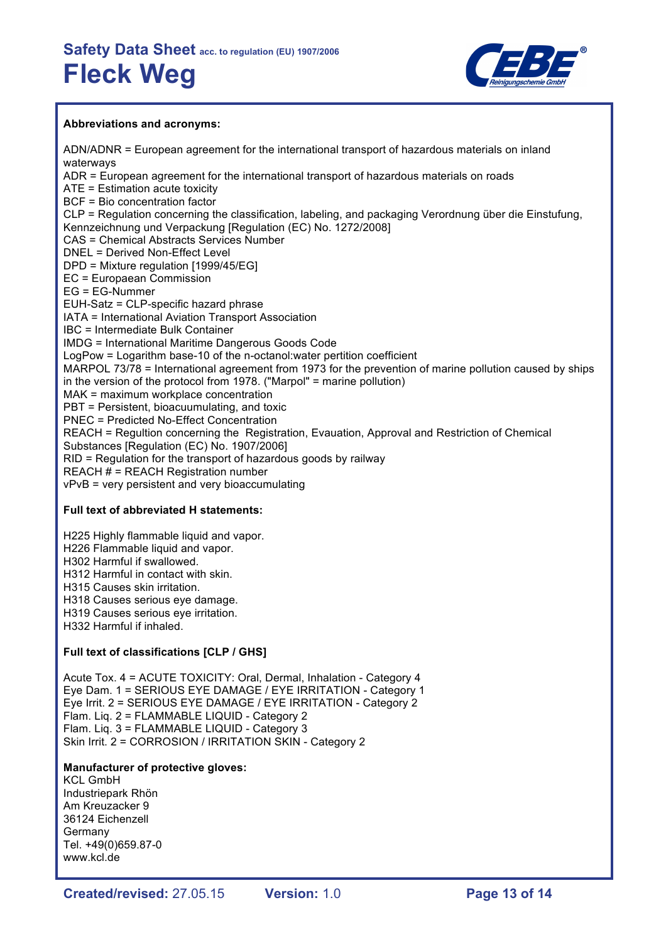

#### **Abbreviations and acronyms:**

ADN/ADNR = European agreement for the international transport of hazardous materials on inland waterways ADR = European agreement for the international transport of hazardous materials on roads ATE = Estimation acute toxicity BCF = Bio concentration factor CLP = Regulation concerning the classification, labeling, and packaging Verordnung über die Einstufung, Kennzeichnung und Verpackung [Regulation (EC) No. 1272/2008] CAS = Chemical Abstracts Services Number DNEL = Derived Non-Effect Level DPD = Mixture regulation [1999/45/EG] EC = Europaean Commission EG = EG-Nummer EUH-Satz = CLP-specific hazard phrase IATA = International Aviation Transport Association IBC = Intermediate Bulk Container IMDG = International Maritime Dangerous Goods Code LogPow = Logarithm base-10 of the n-octanol:water pertition coefficient MARPOL 73/78 = International agreement from 1973 for the prevention of marine pollution caused by ships in the version of the protocol from 1978. ("Marpol" = marine pollution) MAK = maximum workplace concentration PBT = Persistent, bioacuumulating, and toxic PNEC = Predicted No-Effect Concentration REACH = Regultion concerning the Registration, Evauation, Approval and Restriction of Chemical Substances [Regulation (EC) No. 1907/2006] RID = Regulation for the transport of hazardous goods by railway REACH # = REACH Registration number vPvB = very persistent and very bioaccumulating

### **Full text of abbreviated H statements:**

H225 Highly flammable liquid and vapor. H226 Flammable liquid and vapor. H302 Harmful if swallowed. H312 Harmful in contact with skin. H315 Causes skin irritation. H318 Causes serious eye damage. H319 Causes serious eye irritation. H332 Harmful if inhaled.

## **Full text of classifications [CLP / GHS]**

Acute Tox. 4 = ACUTE TOXICITY: Oral, Dermal, Inhalation - Category 4 Eye Dam. 1 = SERIOUS EYE DAMAGE / EYE IRRITATION - Category 1 Eye Irrit. 2 = SERIOUS EYE DAMAGE / EYE IRRITATION - Category 2 Flam. Liq. 2 = FLAMMABLE LIQUID - Category 2 Flam. Liq. 3 = FLAMMABLE LIQUID - Category 3 Skin Irrit. 2 = CORROSION / IRRITATION SKIN - Category 2

### **Manufacturer of protective gloves:**

KCL GmbH Industriepark Rhön Am Kreuzacker 9 36124 Eichenzell Germany Tel. +49(0)659.87-0 www.kcl.de